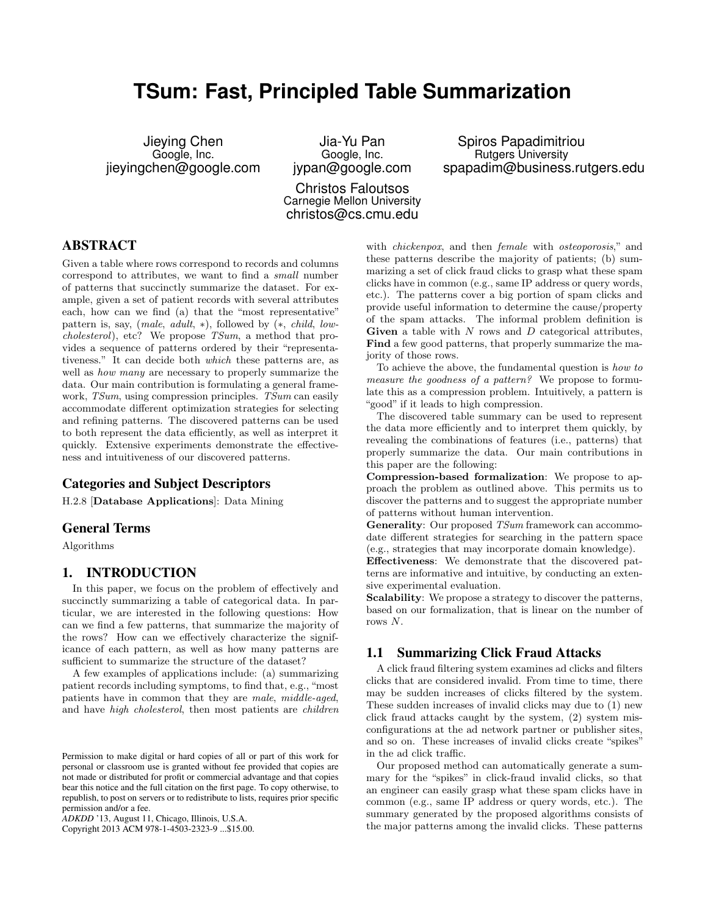# **TSum: Fast, Principled Table Summarization**

Jieying Chen Google, Inc. jieyingchen@google.com

Jia-Yu Pan Google, Inc. jypan@google.com

Christos Faloutsos Carnegie Mellon University christos@cs.cmu.edu

Spiros Papadimitriou Rutgers University spapadim@business.rutgers.edu

# ABSTRACT

Given a table where rows correspond to records and columns correspond to attributes, we want to find a small number of patterns that succinctly summarize the dataset. For example, given a set of patient records with several attributes each, how can we find (a) that the "most representative" pattern is, say,  $(male, adult, *)$ , followed by  $(*, child, low$ cholesterol), etc? We propose TSum, a method that provides a sequence of patterns ordered by their "representativeness." It can decide both which these patterns are, as well as *how many* are necessary to properly summarize the data. Our main contribution is formulating a general framework, TSum, using compression principles. TSum can easily accommodate different optimization strategies for selecting and refining patterns. The discovered patterns can be used to both represent the data efficiently, as well as interpret it quickly. Extensive experiments demonstrate the effectiveness and intuitiveness of our discovered patterns.

# Categories and Subject Descriptors

H.2.8 [Database Applications]: Data Mining

## General Terms

Algorithms

## 1. INTRODUCTION

In this paper, we focus on the problem of effectively and succinctly summarizing a table of categorical data. In particular, we are interested in the following questions: How can we find a few patterns, that summarize the majority of the rows? How can we effectively characterize the significance of each pattern, as well as how many patterns are sufficient to summarize the structure of the dataset?

A few examples of applications include: (a) summarizing patient records including symptoms, to find that, e.g., "most patients have in common that they are male, middle-aged, and have high cholesterol, then most patients are children

Copyright 2013 ACM 978-1-4503-2323-9 ...\$15.00.

with *chickenpox*, and then *female* with *osteoporosis*," and these patterns describe the majority of patients; (b) summarizing a set of click fraud clicks to grasp what these spam clicks have in common (e.g., same IP address or query words, etc.). The patterns cover a big portion of spam clicks and provide useful information to determine the cause/property of the spam attacks. The informal problem definition is Given a table with  $N$  rows and  $D$  categorical attributes, Find a few good patterns, that properly summarize the majority of those rows.

To achieve the above, the fundamental question is how to measure the goodness of a pattern? We propose to formulate this as a compression problem. Intuitively, a pattern is "good" if it leads to high compression.

The discovered table summary can be used to represent the data more efficiently and to interpret them quickly, by revealing the combinations of features (i.e., patterns) that properly summarize the data. Our main contributions in this paper are the following:

Compression-based formalization: We propose to approach the problem as outlined above. This permits us to discover the patterns and to suggest the appropriate number of patterns without human intervention.

Generality: Our proposed TSum framework can accommodate different strategies for searching in the pattern space (e.g., strategies that may incorporate domain knowledge).

Effectiveness: We demonstrate that the discovered patterns are informative and intuitive, by conducting an extensive experimental evaluation.

Scalability: We propose a strategy to discover the patterns, based on our formalization, that is linear on the number of rows N.

## 1.1 Summarizing Click Fraud Attacks

A click fraud filtering system examines ad clicks and filters clicks that are considered invalid. From time to time, there may be sudden increases of clicks filtered by the system. These sudden increases of invalid clicks may due to (1) new click fraud attacks caught by the system, (2) system misconfigurations at the ad network partner or publisher sites, and so on. These increases of invalid clicks create "spikes" in the ad click traffic.

Our proposed method can automatically generate a summary for the "spikes" in click-fraud invalid clicks, so that an engineer can easily grasp what these spam clicks have in common (e.g., same IP address or query words, etc.). The summary generated by the proposed algorithms consists of the major patterns among the invalid clicks. These patterns

Permission to make digital or hard copies of all or part of this work for personal or classroom use is granted without fee provided that copies are not made or distributed for profit or commercial advantage and that copies bear this notice and the full citation on the first page. To copy otherwise, to republish, to post on servers or to redistribute to lists, requires prior specific permission and/or a fee.

*ADKDD* '13, August 11, Chicago, Illinois, U.S.A.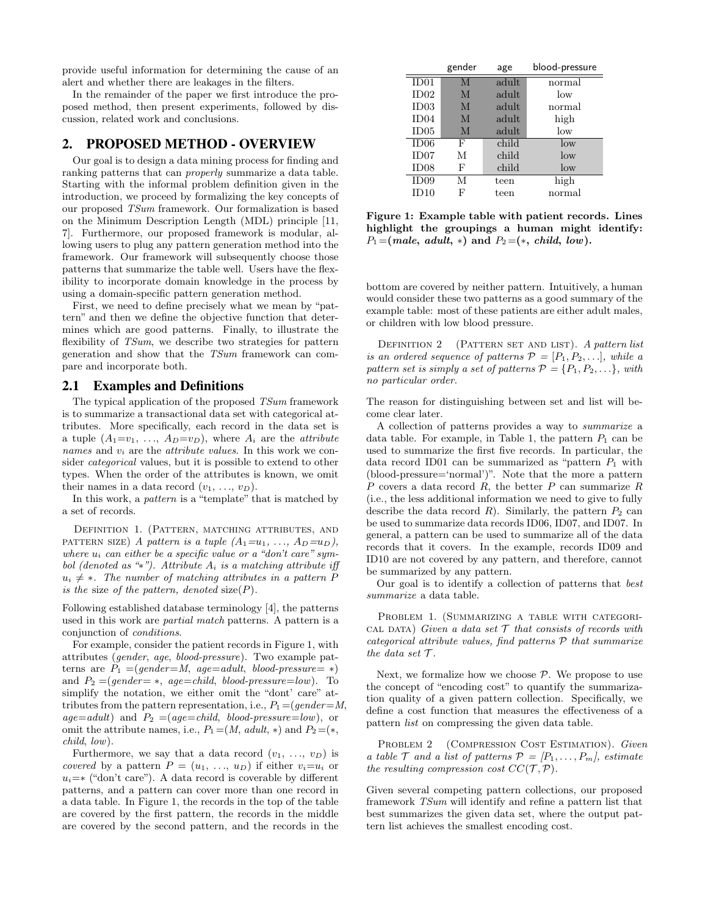provide useful information for determining the cause of an alert and whether there are leakages in the filters.

In the remainder of the paper we first introduce the proposed method, then present experiments, followed by discussion, related work and conclusions.

#### 2. PROPOSED METHOD - OVERVIEW

Our goal is to design a data mining process for finding and ranking patterns that can properly summarize a data table. Starting with the informal problem definition given in the introduction, we proceed by formalizing the key concepts of our proposed TSum framework. Our formalization is based on the Minimum Description Length (MDL) principle [11, 7]. Furthermore, our proposed framework is modular, allowing users to plug any pattern generation method into the framework. Our framework will subsequently choose those patterns that summarize the table well. Users have the flexibility to incorporate domain knowledge in the process by using a domain-specific pattern generation method.

First, we need to define precisely what we mean by "pattern" and then we define the objective function that determines which are good patterns. Finally, to illustrate the flexibility of TSum, we describe two strategies for pattern generation and show that the TSum framework can compare and incorporate both.

#### 2.1 Examples and Definitions

The typical application of the proposed  $TSum$  framework is to summarize a transactional data set with categorical attributes. More specifically, each record in the data set is a tuple  $(A_1=v_1, \ldots, A_D=v_D)$ , where  $A_i$  are the *attribute* names and  $v_i$  are the *attribute values*. In this work we consider categorical values, but it is possible to extend to other types. When the order of the attributes is known, we omit their names in a data record  $(v_1, \ldots, v_D)$ .

In this work, a pattern is a "template" that is matched by a set of records.

Definition 1. (Pattern, matching attributes, and PATTERN SIZE) A pattern is a tuple  $(A_1=u_1, \ldots, A_D=u_D)$ , where  $u_i$  can either be a specific value or a "don't care" symbol (denoted as "\*"). Attribute  $A_i$  is a matching attribute iff  $u_i \neq *$ . The number of matching attributes in a pattern P is the size of the pattern, denoted  $size(P)$ .

Following established database terminology [4], the patterns used in this work are partial match patterns. A pattern is a conjunction of conditions.

For example, consider the patient records in Figure 1, with attributes (gender, age, blood-pressure). Two example patterns are  $P_1 = (gender = M, age = adult, blood-pressure = *)$ and  $P_2 = (gender = *, aqe = child, blood-pressure = low)$ . To simplify the notation, we either omit the "dont" care" attributes from the pattern representation, i.e.,  $P_1 = (qender=M,$  $age = adult$ ) and  $P_2 = (age = child, blood-pressure = low)$ , or omit the attribute names, i.e.,  $P_1 = (M, \text{ adult}, *)$  and  $P_2 = (*,$ child, low).

Furthermore, we say that a data record  $(v_1, \ldots, v_D)$  is covered by a pattern  $P = (u_1, \ldots, u_D)$  if either  $v_i = u_i$  or  $u_i=*(\text{``don't care''}).$  A data record is coverable by different patterns, and a pattern can cover more than one record in a data table. In Figure 1, the records in the top of the table are covered by the first pattern, the records in the middle are covered by the second pattern, and the records in the

|      | gender | age   | blood-pressure  |
|------|--------|-------|-----------------|
| ID01 | M      | adult | normal          |
| ID02 | M      | adult | low             |
| ID03 | M      | adult | normal          |
| ID04 | M      | adult | high            |
| ID05 | M      | adult | $_{\text{low}}$ |
| ID06 | F      | child | $\log$          |
| ID07 | М      | child | $\log$          |
| ID08 | F      | child | low             |
| ID09 | М      | teen  | high            |
| ID10 | F      | teen  | normal          |

Figure 1: Example table with patient records. Lines highlight the groupings a human might identify:  $P_1 = (male, adult, *)$  and  $P_2 = (*, child, low)$ .

bottom are covered by neither pattern. Intuitively, a human would consider these two patterns as a good summary of the example table: most of these patients are either adult males, or children with low blood pressure.

DEFINITION 2 (PATTERN SET AND LIST). A pattern list is an ordered sequence of patterns  $\mathcal{P} = [P_1, P_2, \ldots],$  while a pattern set is simply a set of patterns  $\mathcal{P} = \{P_1, P_2, \ldots\}$ , with no particular order.

The reason for distinguishing between set and list will become clear later.

A collection of patterns provides a way to summarize a data table. For example, in Table 1, the pattern  $P_1$  can be used to summarize the first five records. In particular, the data record ID01 can be summarized as "pattern  $P_1$  with (blood-pressure='normal')". Note that the more a pattern  $P$  covers a data record  $R$ , the better  $P$  can summarize  $R$ (i.e., the less additional information we need to give to fully describe the data record  $R$ ). Similarly, the pattern  $P_2$  can be used to summarize data records ID06, ID07, and ID07. In general, a pattern can be used to summarize all of the data records that it covers. In the example, records ID09 and ID10 are not covered by any pattern, and therefore, cannot be summarized by any pattern.

Our goal is to identify a collection of patterns that best summarize a data table.

PROBLEM 1. (SUMMARIZING A TABLE WITH CATEGORI-CAL DATA) Given a data set  $\mathcal T$  that consists of records with categorical attribute values, find patterns P that summarize the data set  $\mathcal{T}$ .

Next, we formalize how we choose  $P$ . We propose to use the concept of "encoding cost" to quantify the summarization quality of a given pattern collection. Specifically, we define a cost function that measures the effectiveness of a pattern list on compressing the given data table.

PROBLEM 2 (COMPRESSION COST ESTIMATION). Given a table  $\mathcal T$  and a list of patterns  $\mathcal P = [P_1, \ldots, P_m]$ , estimate the resulting compression cost  $CC(\mathcal{T}, \mathcal{P})$ .

Given several competing pattern collections, our proposed framework TSum will identify and refine a pattern list that best summarizes the given data set, where the output pattern list achieves the smallest encoding cost.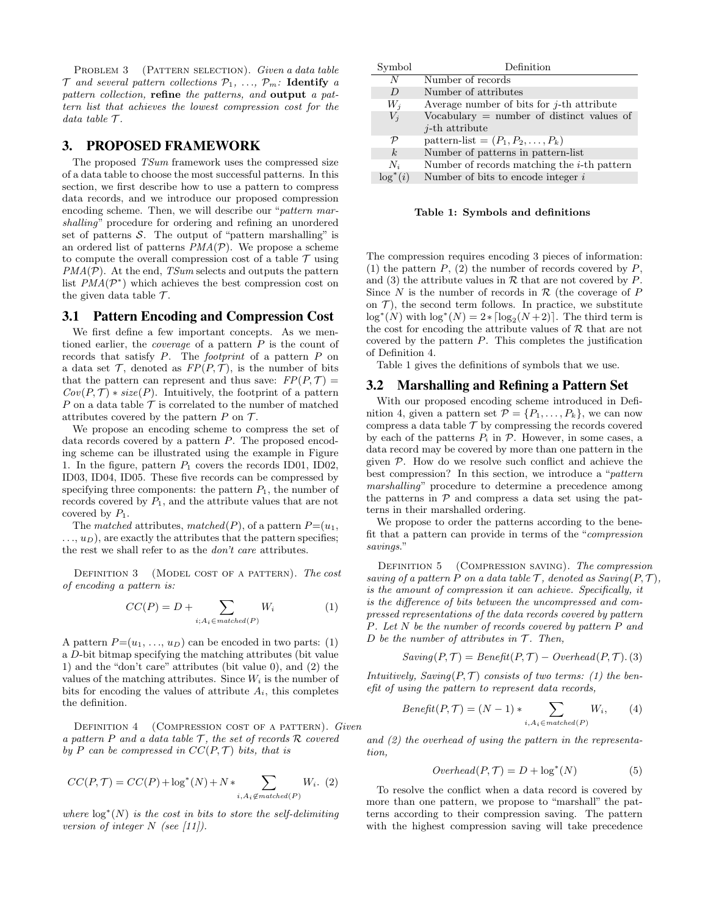PROBLEM 3 (PATTERN SELECTION). Given a data table  $T$  and several pattern collections  $P_1, \ldots, P_m$ : Identify a pattern collection, refine the patterns, and output a pattern list that achieves the lowest compression cost for the data table  $\mathcal{T}.$ 

## 3. PROPOSED FRAMEWORK

The proposed *TSum* framework uses the compressed size of a data table to choose the most successful patterns. In this section, we first describe how to use a pattern to compress data records, and we introduce our proposed compression encoding scheme. Then, we will describe our "pattern marshalling" procedure for ordering and refining an unordered set of patterns  $S$ . The output of "pattern marshalling" is an ordered list of patterns  $PMA(\mathcal{P})$ . We propose a scheme to compute the overall compression cost of a table  $\mathcal T$  using  $PMA(\mathcal{P})$ . At the end, *TSum* selects and outputs the pattern list  $PMA(\mathcal{P}^*)$  which achieves the best compression cost on the given data table  $\mathcal{T}$ .

## 3.1 Pattern Encoding and Compression Cost

We first define a few important concepts. As we mentioned earlier, the coverage of a pattern P is the count of records that satisfy P. The footprint of a pattern P on a data set  $\mathcal T$ , denoted as  $FP(P, \mathcal T)$ , is the number of bits that the pattern can represent and thus save:  $FP(P, \mathcal{T}) =$  $Cov(P, \mathcal{T}) * size(P)$ . Intuitively, the footprint of a pattern P on a data table  $\mathcal T$  is correlated to the number of matched attributes covered by the pattern  $P$  on  $\mathcal{T}$ .

We propose an encoding scheme to compress the set of data records covered by a pattern  $P$ . The proposed encoding scheme can be illustrated using the example in Figure 1. In the figure, pattern  $P_1$  covers the records ID01, ID02, ID03, ID04, ID05. These five records can be compressed by specifying three components: the pattern  $P_1$ , the number of records covered by  $P_1$ , and the attribute values that are not covered by  $P_1$ .

The matched attributes, matched(P), of a pattern  $P=(u_1,$  $\dots, u_D$ , are exactly the attributes that the pattern specifies; the rest we shall refer to as the don't care attributes.

DEFINITION 3 (MODEL COST OF A PATTERN). The cost of encoding a pattern is:

$$
CC(P) = D + \sum_{i; A_i \in matched(P)} W_i
$$
 (1)

A pattern  $P=(u_1, \ldots, u_D)$  can be encoded in two parts: (1) a D-bit bitmap specifying the matching attributes (bit value 1) and the "don't care" attributes (bit value 0), and (2) the values of the matching attributes. Since  $W_i$  is the number of bits for encoding the values of attribute  $A_i$ , this completes the definition.

DEFINITION 4 (COMPRESSION COST OF A PATTERN). Given a pattern P and a data table  $\mathcal{T}$ , the set of records  $\mathcal{R}$  covered by P can be compressed in  $CC(P, \mathcal{T})$  bits, that is

$$
CC(P, \mathcal{T}) = CC(P) + \log^*(N) + N * \sum_{i, A_i \notin matched(P)} W_i.
$$
 (2)

where  $\log^*(N)$  is the cost in bits to store the self-delimiting version of integer  $N$  (see [11]).

| Symbol         | Definition                                     |
|----------------|------------------------------------------------|
| N              | Number of records                              |
| $\prime$       | Number of attributes                           |
| $W_i$          | Average number of bits for $i$ -th attribute   |
| $V_i$          | Vocabulary $=$ number of distinct values of    |
|                | $i$ -th attribute                              |
| ${\cal P}$     | pattern-list = $(P_1, P_2, \ldots, P_k)$       |
| k <sub>i</sub> | Number of patterns in pattern-list             |
| $N_i$          | Number of records matching the $i$ -th pattern |
| $\log^*(i)$    | Number of bits to encode integer $i$           |

Table 1: Symbols and definitions

The compression requires encoding 3 pieces of information: (1) the pattern  $P$ , (2) the number of records covered by  $P$ , and (3) the attribute values in  $R$  that are not covered by  $P$ . Since  $N$  is the number of records in  $R$  (the coverage of  $P$ on  $\mathcal{T}$ ), the second term follows. In practice, we substitute  $\log^*(N)$  with  $\log^*(N) = 2 * \lceil \log_2(N + 2) \rceil$ . The third term is the cost for encoding the attribute values of  $R$  that are not covered by the pattern P. This completes the justification of Definition 4.

Table 1 gives the definitions of symbols that we use.

#### 3.2 Marshalling and Refining a Pattern Set

With our proposed encoding scheme introduced in Definition 4, given a pattern set  $\mathcal{P} = \{P_1, \ldots, P_k\}$ , we can now compress a data table  $\mathcal T$  by compressing the records covered by each of the patterns  $P_i$  in  $P$ . However, in some cases, a data record may be covered by more than one pattern in the given  $P$ . How do we resolve such conflict and achieve the best compression? In this section, we introduce a "pattern marshalling" procedure to determine a precedence among the patterns in  $P$  and compress a data set using the patterns in their marshalled ordering.

We propose to order the patterns according to the benefit that a pattern can provide in terms of the "compression savings."

DEFINITION 5 (COMPRESSION SAVING). The compression saving of a pattern P on a data table  $\mathcal{T}$ , denoted as  $Saving(P, \mathcal{T})$ , is the amount of compression it can achieve. Specifically, it is the difference of bits between the uncompressed and compressed representations of the data records covered by pattern P. Let N be the number of records covered by pattern P and D be the number of attributes in  $\mathcal T$ . Then,

$$
Saving(P, T) = Benefit(P, T) - Overhead(P, T). (3)
$$

Intuitively, Saving $(P, \mathcal{T})$  consists of two terms: (1) the benefit of using the pattern to represent data records,

$$
Beneft(P, T) = (N - 1) * \sum_{i, A_i \in matched(P)} W_i,
$$
 (4)

and (2) the overhead of using the pattern in the representation,

$$
Overhead(P, \mathcal{T}) = D + \log^*(N) \tag{5}
$$

To resolve the conflict when a data record is covered by more than one pattern, we propose to "marshall" the patterns according to their compression saving. The pattern with the highest compression saving will take precedence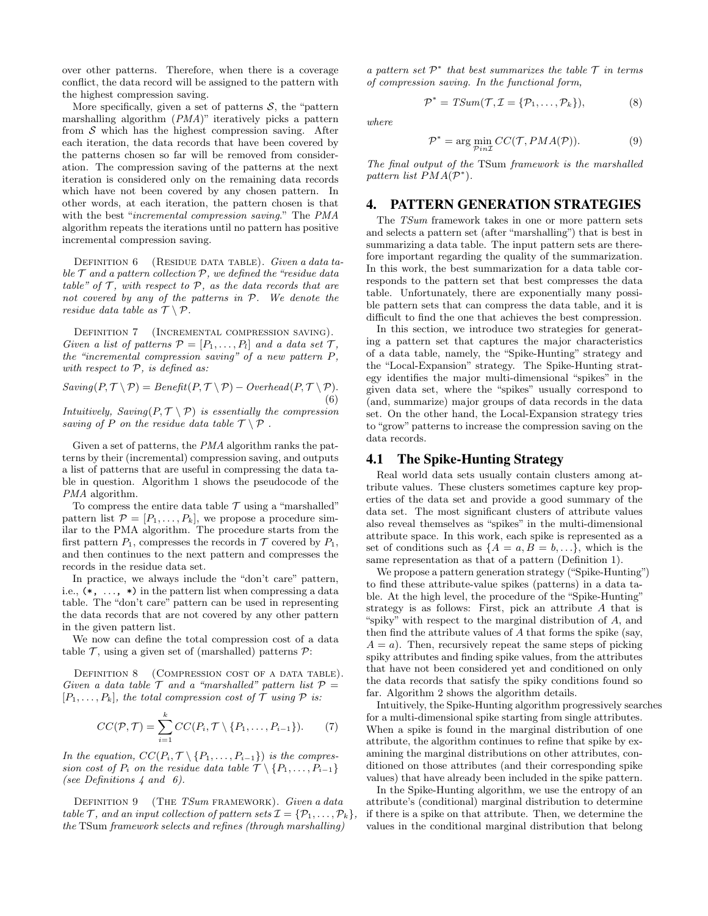over other patterns. Therefore, when there is a coverage conflict, the data record will be assigned to the pattern with the highest compression saving.

More specifically, given a set of patterns  $S$ , the "pattern marshalling algorithm (PMA)" iteratively picks a pattern from  $S$  which has the highest compression saving. After each iteration, the data records that have been covered by the patterns chosen so far will be removed from consideration. The compression saving of the patterns at the next iteration is considered only on the remaining data records which have not been covered by any chosen pattern. In other words, at each iteration, the pattern chosen is that with the best "incremental compression saving." The PMA algorithm repeats the iterations until no pattern has positive incremental compression saving.

DEFINITION  $6$  (RESIDUE DATA TABLE). Given a data table  $\mathcal T$  and a pattern collection  $\mathcal P$ , we defined the "residue data" table" of  $\mathcal T$ , with respect to  $\mathcal P$ , as the data records that are not covered by any of the patterns in P. We denote the residue data table as  $\mathcal{T} \setminus \mathcal{P}$ .

DEFINITION 7 (INCREMENTAL COMPRESSION SAVING). Given a list of patterns  $\mathcal{P} = [P_1, \ldots, P_l]$  and a data set  $\mathcal{T}$ , the "incremental compression saving" of a new pattern P, with respect to  $P$ , is defined as:

 $Saving(P, \mathcal{T} \setminus \mathcal{P}) = Beneft(P, \mathcal{T} \setminus \mathcal{P}) - Overhead(P, \mathcal{T} \setminus \mathcal{P}).$ (6)

Intuitively,  $Saving(P, \mathcal{T} \setminus \mathcal{P})$  is essentially the compression saving of P on the residue data table  $\mathcal{T} \setminus \mathcal{P}$ .

Given a set of patterns, the PMA algorithm ranks the patterns by their (incremental) compression saving, and outputs a list of patterns that are useful in compressing the data table in question. Algorithm 1 shows the pseudocode of the PMA algorithm.

To compress the entire data table  $\mathcal T$  using a "marshalled" pattern list  $\mathcal{P} = [P_1, \ldots, P_k]$ , we propose a procedure similar to the PMA algorithm. The procedure starts from the first pattern  $P_1$ , compresses the records in  $\mathcal T$  covered by  $P_1$ , and then continues to the next pattern and compresses the records in the residue data set.

In practice, we always include the "don't care" pattern, i.e.,  $(*, \ldots, *)$  in the pattern list when compressing a data table. The "don't care" pattern can be used in representing the data records that are not covered by any other pattern in the given pattern list.

We now can define the total compression cost of a data table  $\mathcal T$ , using a given set of (marshalled) patterns  $\mathcal P$ :

DEFINITION 8 (COMPRESSION COST OF A DATA TABLE). Given a data table  $T$  and a "marshalled" pattern list  $P =$  $[P_1, \ldots, P_k]$ , the total compression cost of  $\mathcal T$  using  $\mathcal P$  is:

$$
CC(\mathcal{P}, \mathcal{T}) = \sum_{i=1}^{k} CC(P_i, \mathcal{T} \setminus \{P_1, \ldots, P_{i-1}\}).
$$
 (7)

In the equation,  $CC(P_i, \mathcal{T} \setminus \{P_1, \ldots, P_{i-1}\})$  is the compression cost of  $P_i$  on the residue data table  $\mathcal{T} \setminus \{P_1, \ldots, P_{i-1}\}\$ (see Definitions 4 and 6).

DEFINITION 9 (THE TSum FRAMEWORK). Given a data table T, and an input collection of pattern sets  $\mathcal{I} = \{P_1, \ldots, P_k\},\$ the TSum framework selects and refines (through marshalling)

a pattern set  $\mathcal{P}^*$  that best summarizes the table  $\mathcal T$  in terms of compression saving. In the functional form,

$$
\mathcal{P}^* = TSum(\mathcal{T}, \mathcal{I} = \{\mathcal{P}_1, \dots, \mathcal{P}_k\}),\tag{8}
$$

where

$$
\mathcal{P}^* = \arg\min_{\mathcal{P}in\mathcal{I}} CC(\mathcal{T}, PMA(\mathcal{P})).
$$
 (9)

The final output of the TSum framework is the marshalled pattern list  $PMA(\mathcal{P}^*)$ .

## 4. PATTERN GENERATION STRATEGIES

The TSum framework takes in one or more pattern sets and selects a pattern set (after "marshalling") that is best in summarizing a data table. The input pattern sets are therefore important regarding the quality of the summarization. In this work, the best summarization for a data table corresponds to the pattern set that best compresses the data table. Unfortunately, there are exponentially many possible pattern sets that can compress the data table, and it is difficult to find the one that achieves the best compression.

In this section, we introduce two strategies for generating a pattern set that captures the major characteristics of a data table, namely, the "Spike-Hunting" strategy and the "Local-Expansion" strategy. The Spike-Hunting strategy identifies the major multi-dimensional "spikes" in the given data set, where the "spikes" usually correspond to (and, summarize) major groups of data records in the data set. On the other hand, the Local-Expansion strategy tries to "grow" patterns to increase the compression saving on the data records.

#### 4.1 The Spike-Hunting Strategy

Real world data sets usually contain clusters among attribute values. These clusters sometimes capture key properties of the data set and provide a good summary of the data set. The most significant clusters of attribute values also reveal themselves as "spikes" in the multi-dimensional attribute space. In this work, each spike is represented as a set of conditions such as  $\{A = a, B = b, \ldots\}$ , which is the same representation as that of a pattern (Definition 1).

We propose a pattern generation strategy ("Spike-Hunting") to find these attribute-value spikes (patterns) in a data table. At the high level, the procedure of the "Spike-Hunting" strategy is as follows: First, pick an attribute A that is "spiky" with respect to the marginal distribution of A, and then find the attribute values of A that forms the spike (say,  $A = a$ ). Then, recursively repeat the same steps of picking spiky attributes and finding spike values, from the attributes that have not been considered yet and conditioned on only the data records that satisfy the spiky conditions found so far. Algorithm 2 shows the algorithm details.

Intuitively, the Spike-Hunting algorithm progressively searches for a multi-dimensional spike starting from single attributes. When a spike is found in the marginal distribution of one attribute, the algorithm continues to refine that spike by examining the marginal distributions on other attributes, conditioned on those attributes (and their corresponding spike values) that have already been included in the spike pattern.

In the Spike-Hunting algorithm, we use the entropy of an attribute's (conditional) marginal distribution to determine if there is a spike on that attribute. Then, we determine the values in the conditional marginal distribution that belong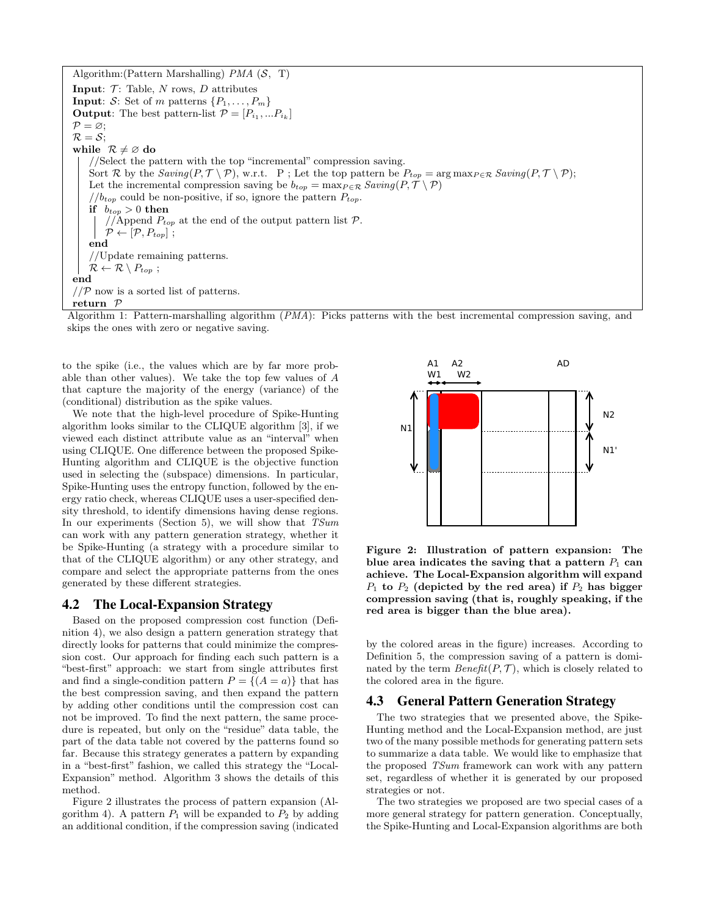Algorithm: (Pattern Marshalling) *PMA*  $(S, T)$ **Input:**  $\mathcal{T}$ : Table, N rows, D attributes **Input:** S: Set of m patterns  $\{P_1, \ldots, P_m\}$ **Output:** The best pattern-list  $\mathcal{P} = [P_{i_1}, ... P_{i_k}]$  $P = \varnothing;$  $\mathcal{R} = \mathcal{S}$ ; while  $\mathcal{R} \neq \emptyset$  do //Select the pattern with the top "incremental" compression saving. Sort R by the  $Saving(P, \mathcal{T} \setminus \mathcal{P})$ , w.r.t. P; Let the top pattern be  $P_{top} = \arg \max_{P \in \mathcal{R}} Saving(P, \mathcal{T} \setminus \mathcal{P})$ ; Let the incremental compression saving be  $b_{top} = \max_{P \in \mathcal{R}} Saving(P, \mathcal{T} \setminus \mathcal{P})$  $//b_{top}$  could be non-positive, if so, ignore the pattern  $P_{top}$ . if  $b_{top} > 0$  then //Append  $P_{top}$  at the end of the output pattern list  $P$ .  $\mathcal{P} \leftarrow [\mathcal{P}, P_{top}]$ ; end //Update remaining patterns.  $\mathcal{R} \leftarrow \mathcal{R} \setminus P_{top}$ ; end  $//P$  now is a sorted list of patterns. return P

Algorithm 1: Pattern-marshalling algorithm (PMA): Picks patterns with the best incremental compression saving, and skips the ones with zero or negative saving.

to the spike (i.e., the values which are by far more probable than other values). We take the top few values of A that capture the majority of the energy (variance) of the (conditional) distribution as the spike values.

We note that the high-level procedure of Spike-Hunting algorithm looks similar to the CLIQUE algorithm [3], if we viewed each distinct attribute value as an "interval" when using CLIQUE. One difference between the proposed Spike-Hunting algorithm and CLIQUE is the objective function used in selecting the (subspace) dimensions. In particular, Spike-Hunting uses the entropy function, followed by the energy ratio check, whereas CLIQUE uses a user-specified density threshold, to identify dimensions having dense regions. In our experiments (Section 5), we will show that  $TSum$ can work with any pattern generation strategy, whether it be Spike-Hunting (a strategy with a procedure similar to that of the CLIQUE algorithm) or any other strategy, and compare and select the appropriate patterns from the ones generated by these different strategies.

## 4.2 The Local-Expansion Strategy

Based on the proposed compression cost function (Definition 4), we also design a pattern generation strategy that directly looks for patterns that could minimize the compression cost. Our approach for finding each such pattern is a "best-first" approach: we start from single attributes first and find a single-condition pattern  $P = \{(A = a)\}\)$  that has the best compression saving, and then expand the pattern by adding other conditions until the compression cost can not be improved. To find the next pattern, the same procedure is repeated, but only on the "residue" data table, the part of the data table not covered by the patterns found so far. Because this strategy generates a pattern by expanding in a "best-first" fashion, we called this strategy the "Local-Expansion" method. Algorithm 3 shows the details of this method.

Figure 2 illustrates the process of pattern expansion (Algorithm 4). A pattern  $P_1$  will be expanded to  $P_2$  by adding an additional condition, if the compression saving (indicated



Figure 2: Illustration of pattern expansion: The blue area indicates the saving that a pattern  $P_1$  can achieve. The Local-Expansion algorithm will expand  $P_1$  to  $P_2$  (depicted by the red area) if  $P_2$  has bigger compression saving (that is, roughly speaking, if the red area is bigger than the blue area).

by the colored areas in the figure) increases. According to Definition 5, the compression saving of a pattern is dominated by the term  $Beneft(P, T)$ , which is closely related to the colored area in the figure.

#### 4.3 General Pattern Generation Strategy

The two strategies that we presented above, the Spike-Hunting method and the Local-Expansion method, are just two of the many possible methods for generating pattern sets to summarize a data table. We would like to emphasize that the proposed TSum framework can work with any pattern set, regardless of whether it is generated by our proposed strategies or not.

The two strategies we proposed are two special cases of a more general strategy for pattern generation. Conceptually, the Spike-Hunting and Local-Expansion algorithms are both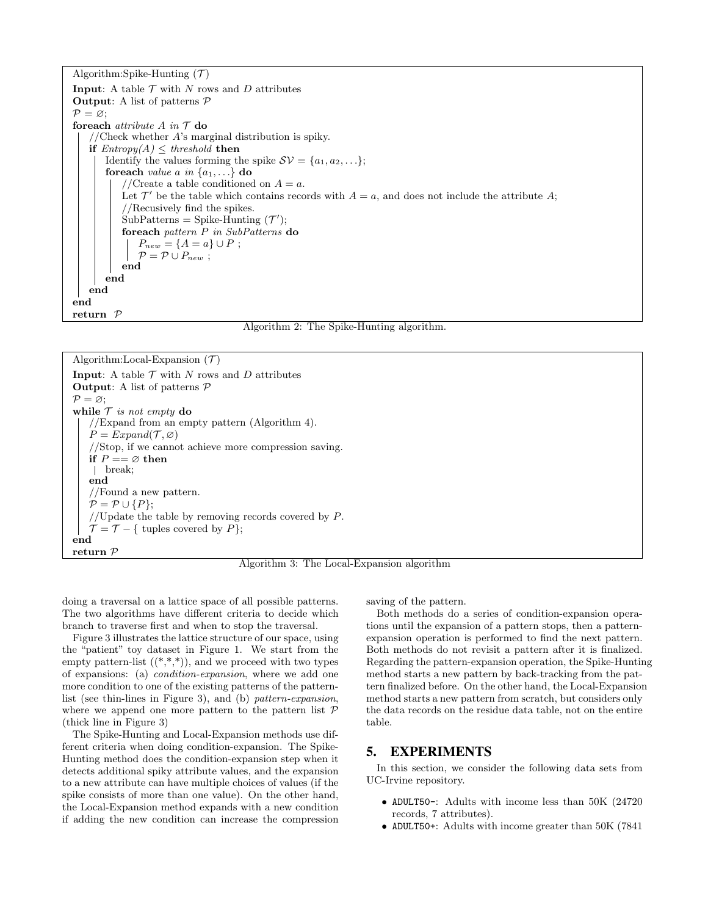Algorithm:Spike-Hunting  $(\mathcal{T})$ **Input:** A table  $\mathcal T$  with  $N$  rows and  $D$  attributes **Output:** A list of patterns  $P$  $P = \varnothing$ ; foreach *attribute A* in  $T$  do //Check whether  $A$ 's marginal distribution is spiky. if  $Entropy(A) \leq threshold$  then Identify the values forming the spike  $SV = \{a_1, a_2, \ldots\};$ foreach *value a in*  $\{a_1, \ldots\}$  do //Create a table conditioned on  $A = a$ . Let  $\mathcal{T}'$  be the table which contains records with  $A = a$ , and does not include the attribute A; //Recusively find the spikes.  $\text{SubPatterns} = \text{Spike-Hunting}(\mathcal{T}');$ foreach pattern P in SubPatterns do  $P_{new} = \{A = a\} \cup P;$  $\mathcal{P} = \mathcal{P} \cup P_{new}$ ; end end end end return P

Algorithm 2: The Spike-Hunting algorithm.

Algorithm:Local-Expansion  $(\mathcal{T})$ **Input:** A table  $\mathcal T$  with  $N$  rows and  $D$  attributes **Output:** A list of patterns  $P$  $P = \varnothing;$ while  $\mathcal T$  is not empty do //Expand from an empty pattern (Algorithm 4).  $P = Expand(\mathcal{T}, \varnothing)$ //Stop, if we cannot achieve more compression saving. if  $P == \emptyset$  then break; end //Found a new pattern.  $P = P \cup \{P\}$ ; //Update the table by removing records covered by  $P$ .  $\mathcal{T} = \mathcal{T} - \{$  tuples covered by P}; end return P

Algorithm 3: The Local-Expansion algorithm

doing a traversal on a lattice space of all possible patterns. The two algorithms have different criteria to decide which branch to traverse first and when to stop the traversal.

Figure 3 illustrates the lattice structure of our space, using the "patient" toy dataset in Figure 1. We start from the empty pattern-list  $((*,*,*))$ , and we proceed with two types of expansions: (a) condition-expansion, where we add one more condition to one of the existing patterns of the patternlist (see thin-lines in Figure 3), and (b) pattern-expansion, where we append one more pattern to the pattern list  $P$ (thick line in Figure 3)

The Spike-Hunting and Local-Expansion methods use different criteria when doing condition-expansion. The Spike-Hunting method does the condition-expansion step when it detects additional spiky attribute values, and the expansion to a new attribute can have multiple choices of values (if the spike consists of more than one value). On the other hand, the Local-Expansion method expands with a new condition if adding the new condition can increase the compression

saving of the pattern.

Both methods do a series of condition-expansion operations until the expansion of a pattern stops, then a patternexpansion operation is performed to find the next pattern. Both methods do not revisit a pattern after it is finalized. Regarding the pattern-expansion operation, the Spike-Hunting method starts a new pattern by back-tracking from the pattern finalized before. On the other hand, the Local-Expansion method starts a new pattern from scratch, but considers only the data records on the residue data table, not on the entire table.

## 5. EXPERIMENTS

In this section, we consider the following data sets from UC-Irvine repository.

- ADULT50-: Adults with income less than 50K (24720 records, 7 attributes).
- ADULT50+: Adults with income greater than 50K (7841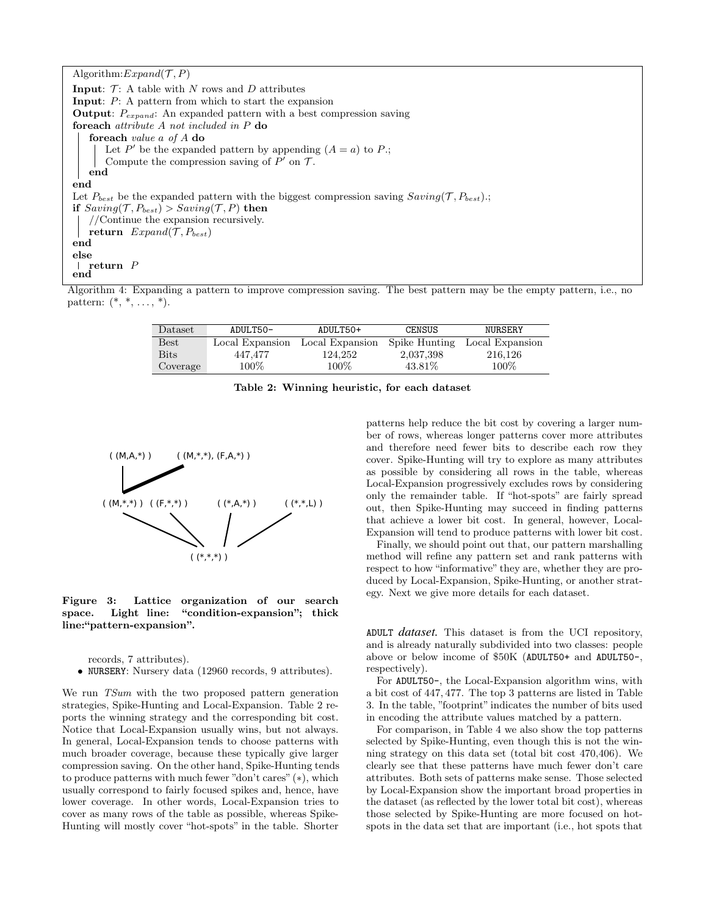Algorithm:  $Expand(\mathcal{T}, P)$ **Input:**  $\mathcal{T}$ : A table with N rows and D attributes Input: P: A pattern from which to start the expansion **Output:**  $P_{expand}$ : An expanded pattern with a best compression saving foreach attribute A not included in P do foreach value a of A do Let P' be the expanded pattern by appending  $(A = a)$  to P; Compute the compression saving of  $P'$  on  $\mathcal T$ . end end Let  $P_{best}$  be the expanded pattern with the biggest compression saving  $Saving(\mathcal{T}, P_{best})$ .; if  $Saving(\mathcal{T}, P_{best}) > Saving(\mathcal{T}, P)$  then //Continue the expansion recursively. return  $Expand(\mathcal{T}, P_{best})$ end else  $\mid$  return  $P$ end

Algorithm 4: Expanding a pattern to improve compression saving. The best pattern may be the empty pattern, i.e., no pattern:  $(*, *, ..., *).$ 

| Dataset     | ADULT50-        | ADULT50+        | CENSUS        | NURSERY         |  |
|-------------|-----------------|-----------------|---------------|-----------------|--|
| <b>Best</b> | Local Expansion | Local Expansion | Spike Hunting | Local Expansion |  |
| <b>Bits</b> | 447.477         | 124.252         | 2,037,398     | 216.126         |  |
| Coverage    | $100\%$         | 100\%           | 43.81\%       | 100%            |  |

Table 2: Winning heuristic, for each dataset



Figure 3: Lattice organization of our search space. Light line: "condition-expansion"; thick line:"pattern-expansion".

records, 7 attributes).

• NURSERY: Nursery data (12960 records, 9 attributes).

We run TSum with the two proposed pattern generation strategies, Spike-Hunting and Local-Expansion. Table 2 reports the winning strategy and the corresponding bit cost. Notice that Local-Expansion usually wins, but not always. In general, Local-Expansion tends to choose patterns with much broader coverage, because these typically give larger compression saving. On the other hand, Spike-Hunting tends to produce patterns with much fewer "don't cares" (∗), which usually correspond to fairly focused spikes and, hence, have lower coverage. In other words, Local-Expansion tries to cover as many rows of the table as possible, whereas Spike-Hunting will mostly cover "hot-spots" in the table. Shorter

patterns help reduce the bit cost by covering a larger number of rows, whereas longer patterns cover more attributes and therefore need fewer bits to describe each row they cover. Spike-Hunting will try to explore as many attributes as possible by considering all rows in the table, whereas Local-Expansion progressively excludes rows by considering only the remainder table. If "hot-spots" are fairly spread out, then Spike-Hunting may succeed in finding patterns that achieve a lower bit cost. In general, however, Local-Expansion will tend to produce patterns with lower bit cost.

Finally, we should point out that, our pattern marshalling method will refine any pattern set and rank patterns with respect to how "informative" they are, whether they are produced by Local-Expansion, Spike-Hunting, or another strategy. Next we give more details for each dataset.

ADULT *dataset.* This dataset is from the UCI repository, and is already naturally subdivided into two classes: people above or below income of \$50K (ADULT50+ and ADULT50-, respectively).

For ADULT50-, the Local-Expansion algorithm wins, with a bit cost of 447, 477. The top 3 patterns are listed in Table 3. In the table, "footprint" indicates the number of bits used in encoding the attribute values matched by a pattern.

For comparison, in Table 4 we also show the top patterns selected by Spike-Hunting, even though this is not the winning strategy on this data set (total bit cost 470,406). We clearly see that these patterns have much fewer don't care attributes. Both sets of patterns make sense. Those selected by Local-Expansion show the important broad properties in the dataset (as reflected by the lower total bit cost), whereas those selected by Spike-Hunting are more focused on hotspots in the data set that are important (i.e., hot spots that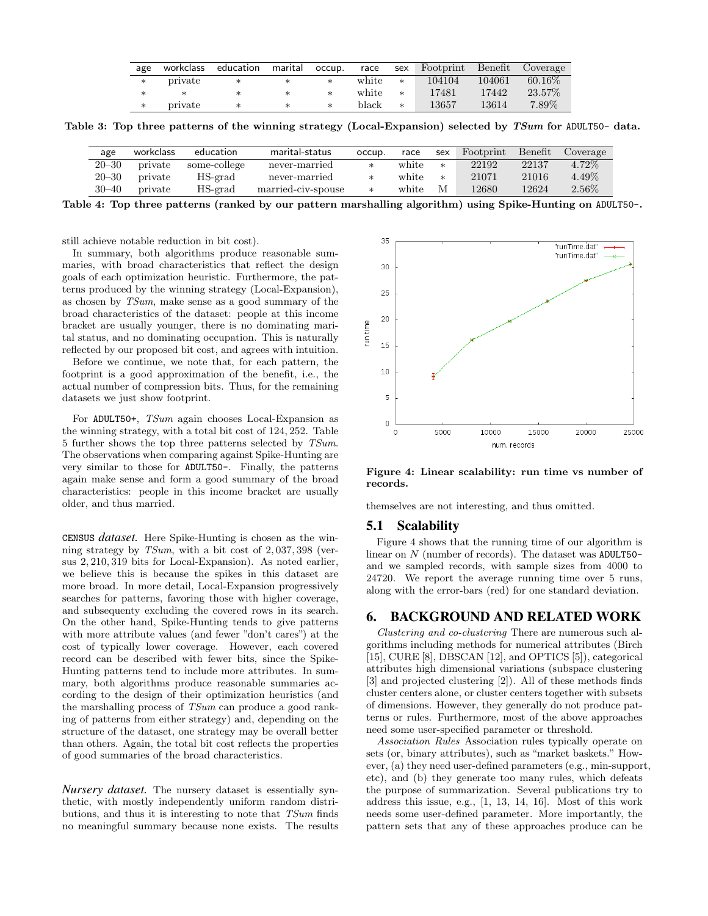| age |         |        |        |         |        | workclass education marital occup. race sex Footprint Benefit Coverage |        |           |
|-----|---------|--------|--------|---------|--------|------------------------------------------------------------------------|--------|-----------|
| $*$ | private |        | $\ast$ | white * |        | 104104                                                                 | 104061 | $60.16\%$ |
|     |         |        | $\ast$ | white   | $*$    | 17481                                                                  | 17442  | $23.57\%$ |
| $*$ | private | $\ast$ | $\ast$ | black   | $\ast$ | 13657                                                                  | 13614  | 7.89%     |

Table 3: Top three patterns of the winning strategy (Local-Expansion) selected by TSum for ADULT50- data.

| age       | workclass | education    | marital-status     | occup. | race  | sex    | Footprint | Benefit | Coverage |
|-----------|-----------|--------------|--------------------|--------|-------|--------|-----------|---------|----------|
| $20 - 30$ | private   | some-college | never-married      | ж      | white | $\ast$ | 22192     | 22137   | 4.72\%   |
| $20 - 30$ | private   | HS-grad      | never-married      | ж      | white | $\ast$ | 21071     | 21016   | 4.49%    |
| $30 - 40$ | private   | HS-grad      | married-civ-spouse | $\ast$ | white | M      | 12680     | 12624   | $2.56\%$ |

Table 4: Top three patterns (ranked by our pattern marshalling algorithm) using Spike-Hunting on ADULT50-.

still achieve notable reduction in bit cost).

In summary, both algorithms produce reasonable summaries, with broad characteristics that reflect the design goals of each optimization heuristic. Furthermore, the patterns produced by the winning strategy (Local-Expansion), as chosen by TSum, make sense as a good summary of the broad characteristics of the dataset: people at this income bracket are usually younger, there is no dominating marital status, and no dominating occupation. This is naturally reflected by our proposed bit cost, and agrees with intuition.

Before we continue, we note that, for each pattern, the footprint is a good approximation of the benefit, i.e., the actual number of compression bits. Thus, for the remaining datasets we just show footprint.

For ADULT50+, TSum again chooses Local-Expansion as the winning strategy, with a total bit cost of 124, 252. Table 5 further shows the top three patterns selected by TSum. The observations when comparing against Spike-Hunting are very similar to those for ADULT50-. Finally, the patterns again make sense and form a good summary of the broad characteristics: people in this income bracket are usually older, and thus married.

CENSUS *dataset.* Here Spike-Hunting is chosen as the winning strategy by TSum, with a bit cost of 2, 037, 398 (versus 2, 210, 319 bits for Local-Expansion). As noted earlier, we believe this is because the spikes in this dataset are more broad. In more detail, Local-Expansion progressively searches for patterns, favoring those with higher coverage, and subsequenty excluding the covered rows in its search. On the other hand, Spike-Hunting tends to give patterns with more attribute values (and fewer "don't cares") at the cost of typically lower coverage. However, each covered record can be described with fewer bits, since the Spike-Hunting patterns tend to include more attributes. In summary, both algorithms produce reasonable summaries according to the design of their optimization heuristics (and the marshalling process of TSum can produce a good ranking of patterns from either strategy) and, depending on the structure of the dataset, one strategy may be overall better than others. Again, the total bit cost reflects the properties of good summaries of the broad characteristics.

*Nursery dataset.* The nursery dataset is essentially synthetic, with mostly independently uniform random distributions, and thus it is interesting to note that TSum finds no meaningful summary because none exists. The results



Figure 4: Linear scalability: run time vs number of records.

themselves are not interesting, and thus omitted.

#### 5.1 Scalability

Figure 4 shows that the running time of our algorithm is linear on N (number of records). The dataset was ADULT50and we sampled records, with sample sizes from 4000 to 24720. We report the average running time over 5 runs, along with the error-bars (red) for one standard deviation.

## 6. BACKGROUND AND RELATED WORK

Clustering and co-clustering There are numerous such algorithms including methods for numerical attributes (Birch [15], CURE [8], DBSCAN [12], and OPTICS [5]), categorical attributes high dimensional variations (subspace clustering [3] and projected clustering [2]). All of these methods finds cluster centers alone, or cluster centers together with subsets of dimensions. However, they generally do not produce patterns or rules. Furthermore, most of the above approaches need some user-specified parameter or threshold.

Association Rules Association rules typically operate on sets (or, binary attributes), such as "market baskets." However, (a) they need user-defined parameters (e.g., min-support, etc), and (b) they generate too many rules, which defeats the purpose of summarization. Several publications try to address this issue, e.g., [1, 13, 14, 16]. Most of this work needs some user-defined parameter. More importantly, the pattern sets that any of these approaches produce can be